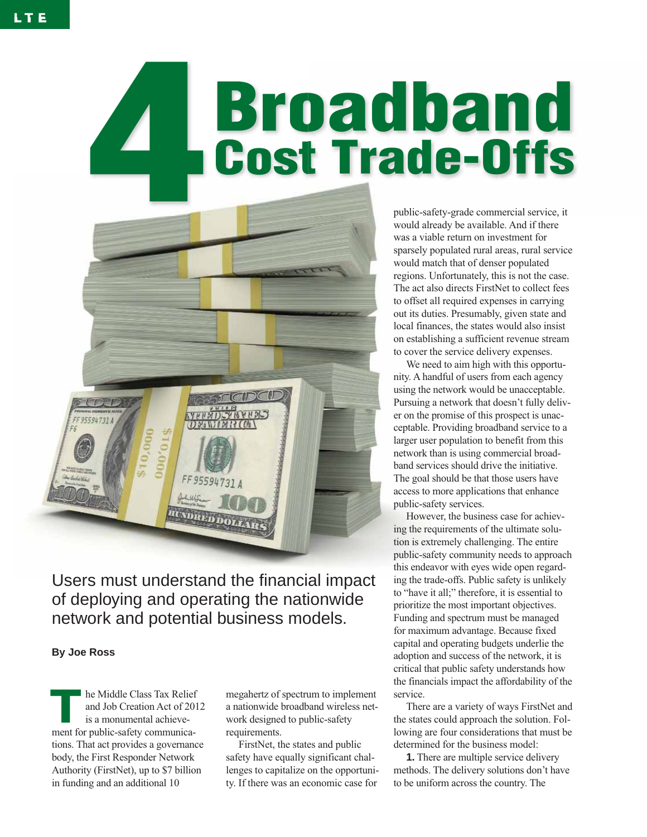# **Broadband<br>Cost Trade-Offs**



Users must understand the financial impact of deploying and operating the nationwide network and potential business models.

# **By Joe Ross**

**The Middle Class Tax Relief**<br>and Job Creation Act of 20<br>is a monumental achieveand Job Creation Act of 2012 is a monumental achievement for public-safety communications. That act provides a governance body, the First Responder Network Authority (FirstNet), up to \$7 billion in funding and an additional 10

megahertz of spectrum to implement a nationwide broadband wireless network designed to public-safety requirements.

FirstNet, the states and public safety have equally significant challenges to capitalize on the opportunity. If there was an economic case for

public-safety-grade commercial service, it would already be available. And if there was a viable return on investment for sparsely populated rural areas, rural service would match that of denser populated regions. Unfortunately, this is not the case. The act also directs FirstNet to collect fees to offset all required expenses in carrying out its duties. Presumably, given state and local finances, the states would also insist on establishing a sufficient revenue stream to cover the service delivery expenses.

We need to aim high with this opportunity. A handful of users from each agency using the network would be unacceptable. Pursuing a network that doesn't fully deliver on the promise of this prospect is unacceptable. Providing broadband service to a larger user population to benefit from this network than is using commercial broadband services should drive the initiative. The goal should be that those users have access to more applications that enhance public-safety services.

However, the business case for achieving the requirements of the ultimate solution is extremely challenging. The entire public-safety community needs to approach this endeavor with eyes wide open regarding the trade-offs. Public safety is unlikely to "have it all;" therefore, it is essential to prioritize the most important objectives. Funding and spectrum must be managed for maximum advantage. Because fixed capital and operating budgets underlie the adoption and success of the network, it is critical that public safety understands how the financials impact the affordability of the service.

There are a variety of ways FirstNet and the states could approach the solution. Following are four considerations that must be determined for the business model:

**1.** There are multiple service delivery methods. The delivery solutions don't have to be uniform across the country. The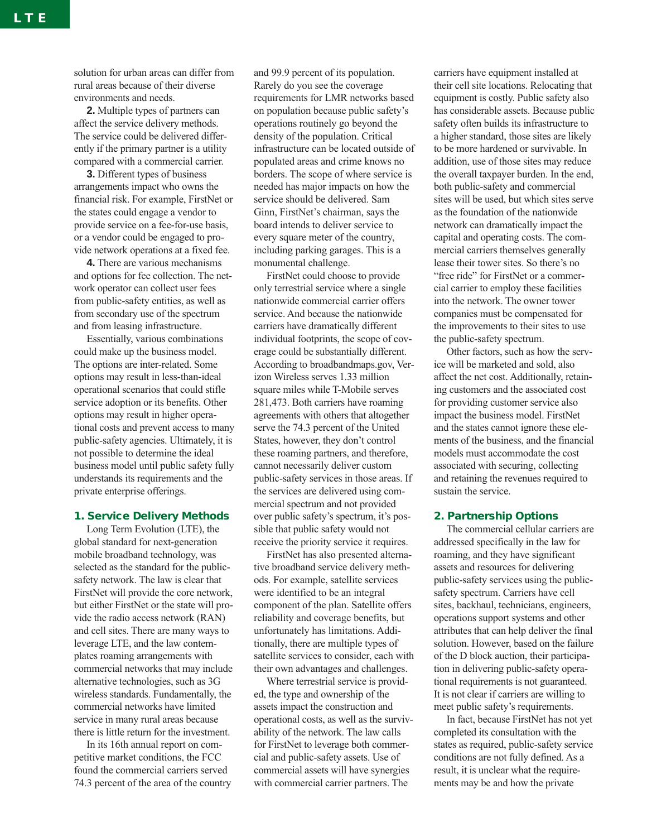solution for urban areas can differ from rural areas because of their diverse environments and needs.

**2.** Multiple types of partners can affect the service delivery methods. The service could be delivered differently if the primary partner is a utility compared with a commercial carrier.

**3.** Different types of business arrangements impact who owns the financial risk. For example, FirstNet or the states could engage a vendor to provide service on a fee-for-use basis, or a vendor could be engaged to provide network operations at a fixed fee.

**4.** There are various mechanisms and options for fee collection. The network operator can collect user fees from public-safety entities, as well as from secondary use of the spectrum and from leasing infrastructure.

Essentially, various combinations could make up the business model. The options are inter-related. Some options may result in less-than-ideal operational scenarios that could stifle service adoption or its benefits. Other options may result in higher operational costs and prevent access to many public-safety agencies. Ultimately, it is not possible to determine the ideal business model until public safety fully understands its requirements and the private enterprise offerings.

### **1. Service Delivery Methods**

Long Term Evolution (LTE), the global standard for next-generation mobile broadband technology, was selected as the standard for the publicsafety network. The law is clear that FirstNet will provide the core network, but either FirstNet or the state will provide the radio access network (RAN) and cell sites. There are many ways to leverage LTE, and the law contemplates roaming arrangements with commercial networks that may include alternative technologies, such as 3G wireless standards. Fundamentally, the commercial networks have limited service in many rural areas because there is little return for the investment.

In its 16th annual report on competitive market conditions, the FCC found the commercial carriers served 74.3 percent of the area of the country and 99.9 percent of its population. Rarely do you see the coverage requirements for LMR networks based on population because public safety's operations routinely go beyond the density of the population. Critical infrastructure can be located outside of populated areas and crime knows no borders. The scope of where service is needed has major impacts on how the service should be delivered. Sam Ginn, FirstNet's chairman, says the board intends to deliver service to every square meter of the country, including parking garages. This is a monumental challenge.

FirstNet could choose to provide only terrestrial service where a single nationwide commercial carrier offers service. And because the nationwide carriers have dramatically different individual footprints, the scope of coverage could be substantially different. According to broadbandmaps.gov, Verizon Wireless serves 1.33 million square miles while T-Mobile serves 281,473. Both carriers have roaming agreements with others that altogether serve the 74.3 percent of the United States, however, they don't control these roaming partners, and therefore, cannot necessarily deliver custom public-safety services in those areas. If the services are delivered using commercial spectrum and not provided over public safety's spectrum, it's possible that public safety would not receive the priority service it requires.

FirstNet has also presented alternative broadband service delivery methods. For example, satellite services were identified to be an integral component of the plan. Satellite offers reliability and coverage benefits, but unfortunately has limitations. Additionally, there are multiple types of satellite services to consider, each with their own advantages and challenges.

Where terrestrial service is provided, the type and ownership of the assets impact the construction and operational costs, as well as the survivability of the network. The law calls for FirstNet to leverage both commercial and public-safety assets. Use of commercial assets will have synergies with commercial carrier partners. The

carriers have equipment installed at their cell site locations. Relocating that equipment is costly. Public safety also has considerable assets. Because public safety often builds its infrastructure to a higher standard, those sites are likely to be more hardened or survivable. In addition, use of those sites may reduce the overall taxpayer burden. In the end, both public-safety and commercial sites will be used, but which sites serve as the foundation of the nationwide network can dramatically impact the capital and operating costs. The commercial carriers themselves generally lease their tower sites. So there's no "free ride" for FirstNet or a commercial carrier to employ these facilities into the network. The owner tower companies must be compensated for the improvements to their sites to use the public-safety spectrum.

Other factors, such as how the service will be marketed and sold, also affect the net cost. Additionally, retaining customers and the associated cost for providing customer service also impact the business model. FirstNet and the states cannot ignore these elements of the business, and the financial models must accommodate the cost associated with securing, collecting and retaining the revenues required to sustain the service.

# **2. Partnership Options**

The commercial cellular carriers are addressed specifically in the law for roaming, and they have significant assets and resources for delivering public-safety services using the publicsafety spectrum. Carriers have cell sites, backhaul, technicians, engineers, operations support systems and other attributes that can help deliver the final solution. However, based on the failure of the D block auction, their participation in delivering public-safety operational requirements is not guaranteed. It is not clear if carriers are willing to meet public safety's requirements.

In fact, because FirstNet has not yet completed its consultation with the states as required, public-safety service conditions are not fully defined. As a result, it is unclear what the requirements may be and how the private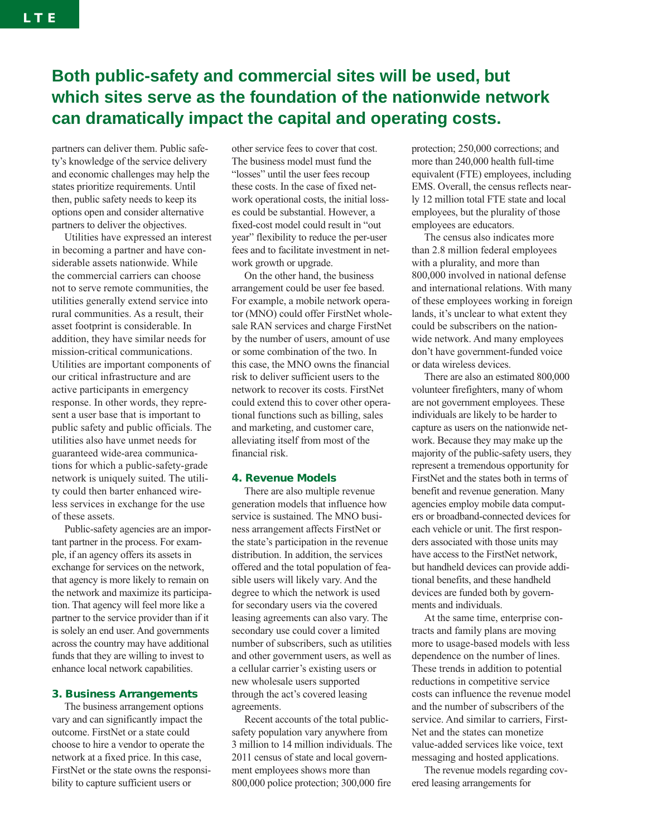# **Both public-safety and commercial sites will be used, but which sites serve as the foundation of the nationwide network can dramatically impact the capital and operating costs.**

partners can deliver them. Public safety's knowledge of the service delivery and economic challenges may help the states prioritize requirements. Until then, public safety needs to keep its options open and consider alternative partners to deliver the objectives.

Utilities have expressed an interest in becoming a partner and have considerable assets nationwide. While the commercial carriers can choose not to serve remote communities, the utilities generally extend service into rural communities. As a result, their asset footprint is considerable. In addition, they have similar needs for mission-critical communications. Utilities are important components of our critical infrastructure and are active participants in emergency response. In other words, they represent a user base that is important to public safety and public officials. The utilities also have unmet needs for guaranteed wide-area communications for which a public-safety-grade network is uniquely suited. The utility could then barter enhanced wireless services in exchange for the use of these assets.

Public-safety agencies are an important partner in the process. For example, if an agency offers its assets in exchange for services on the network, that agency is more likely to remain on the network and maximize its participation. That agency will feel more like a partner to the service provider than if it is solely an end user. And governments across the country may have additional funds that they are willing to invest to enhance local network capabilities.

# **3. Business Arrangements**

The business arrangement options vary and can significantly impact the outcome. FirstNet or a state could choose to hire a vendor to operate the network at a fixed price. In this case, FirstNet or the state owns the responsibility to capture sufficient users or

other service fees to cover that cost. The business model must fund the "losses" until the user fees recoup these costs. In the case of fixed network operational costs, the initial losses could be substantial. However, a fixed-cost model could result in "out year" flexibility to reduce the per-user fees and to facilitate investment in network growth or upgrade.

On the other hand, the business arrangement could be user fee based. For example, a mobile network operator (MNO) could offer FirstNet wholesale RAN services and charge FirstNet by the number of users, amount of use or some combination of the two. In this case, the MNO owns the financial risk to deliver sufficient users to the network to recover its costs. FirstNet could extend this to cover other operational functions such as billing, sales and marketing, and customer care, alleviating itself from most of the financial risk.

# **4. Revenue Models**

There are also multiple revenue generation models that influence how service is sustained. The MNO business arrangement affects FirstNet or the state's participation in the revenue distribution. In addition, the services offered and the total population of feasible users will likely vary. And the degree to which the network is used for secondary users via the covered leasing agreements can also vary. The secondary use could cover a limited number of subscribers, such as utilities and other government users, as well as a cellular carrier's existing users or new wholesale users supported through the act's covered leasing agreements.

Recent accounts of the total publicsafety population vary anywhere from 3 million to 14 million individuals. The 2011 census of state and local government employees shows more than 800,000 police protection; 300,000 fire

protection; 250,000 corrections; and more than 240,000 health full-time equivalent (FTE) employees, including EMS. Overall, the census reflects nearly 12 million total FTE state and local employees, but the plurality of those employees are educators.

The census also indicates more than 2.8 million federal employees with a plurality, and more than 800,000 involved in national defense and international relations. With many of these employees working in foreign lands, it's unclear to what extent they could be subscribers on the nationwide network. And many employees don't have government-funded voice or data wireless devices.

There are also an estimated 800,000 volunteer firefighters, many of whom are not government employees. These individuals are likely to be harder to capture as users on the nationwide network. Because they may make up the majority of the public-safety users, they represent a tremendous opportunity for FirstNet and the states both in terms of benefit and revenue generation. Many agencies employ mobile data computers or broadband-connected devices for each vehicle or unit. The first responders associated with those units may have access to the FirstNet network, but handheld devices can provide additional benefits, and these handheld devices are funded both by governments and individuals.

At the same time, enterprise contracts and family plans are moving more to usage-based models with less dependence on the number of lines. These trends in addition to potential reductions in competitive service costs can influence the revenue model and the number of subscribers of the service. And similar to carriers, First-Net and the states can monetize value-added services like voice, text messaging and hosted applications.

The revenue models regarding covered leasing arrangements for